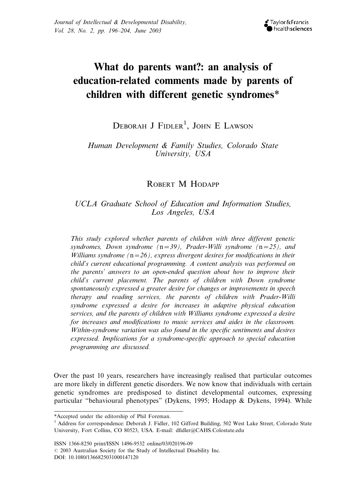# What do parents want?: an analysis of education-related comments made by parents of children with different genetic syndromes\*

 $\mathrm{Deb}$ orah J $\mathrm{Fin}$ ler<sup>1</sup>, John E Lawson

Human Development & Family Studies, Colorado State University, USA

ROBERT M HODAPP

UCLA Graduate School of Education and Information Studies, Los Angeles, USA

This study explored whether parents of children with three different genetic syndromes, Down syndrome  $(n=39)$ , Prader-Willi syndrome  $(n=25)$ , and Williams syndrome  $(n=26)$ , express divergent desires for modifications in their child's current educational programming. A content analysis was performed on the parents' answers to an open-ended question about how to improve their child's current placement. The parents of children with Down syndrome spontaneously expressed a greater desire for changes or improvements in speech therapy and reading services, the parents of children with Prader-Willi syndrome expressed a desire for increases in adaptive physical education services, and the parents of children with Williams syndrome expressed a desire for increases and modifications to music services and aides in the classroom. Within-syndrome variation was also found in the specific sentiments and desires expressed. Implications for a syndrome-specific approach to special education programming are discussed.

Over the past 10 years, researchers have increasingly realised that particular outcomes are more likely in different genetic disorders. We now know that individuals with certain genetic syndromes are predisposed to distinct developmental outcomes, expressing particular ''behavioural phenotypes'' (Dykens, 1995; Hodapp & Dykens, 1994). While

ISSN 1366-8250 print/ISSN 1496-9532 online/03/020196-09

 $@$  2003 Australian Society for the Study of Intellectual Disability Inc. DOI: 10.1080/1366825031000147120

<sup>\*</sup>Accepted under the editorship of Phil Foreman.

<sup>&</sup>lt;sup>1</sup> Address for correspondence: Deborah J. Fidler, 102 Gifford Building, 502 West Lake Street, Colorado State University, Fort Collins, CO 80523, USA. E-mail: dfidler@CAHS.Colostate.edu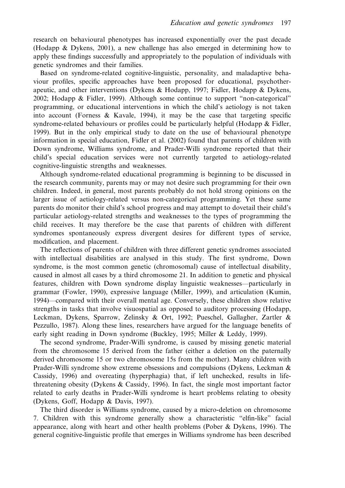research on behavioural phenotypes has increased exponentially over the past decade (Hodapp & Dykens, 2001), a new challenge has also emerged in determining how to apply these findings successfully and appropriately to the population of individuals with genetic syndromes and their families.

Based on syndrome-related cognitive-linguistic, personality, and maladaptive behaviour profiles, specific approaches have been proposed for educational, psychotherapeutic, and other interventions (Dykens  $\&$  Hodapp, 1997; Fidler, Hodapp  $\&$  Dykens, 2002; Hodapp & Fidler, 1999). Although some continue to support ''non-categorical'' programming, or educational interventions in which the child's aetiology is not taken into account (Forness & Kavale, 1994), it may be the case that targeting specific syndrome-related behaviours or profiles could be particularly helpful (Hodapp & Fidler, 1999). But in the only empirical study to date on the use of behavioural phenotype information in special education, Fidler et al. (2002) found that parents of children with Down syndrome, Williams syndrome, and Prader-Willi syndrome reported that their child's special education services were not currently targeted to aetiology-related cognitive-linguistic strengths and weaknesses.

Although syndrome-related educational programming is beginning to be discussed in the research community, parents may or may not desire such programming for their own children. Indeed, in general, most parents probably do not hold strong opinions on the larger issue of aetiology-related versus non-categorical programming. Yet these same parents do monitor their child's school progress and may attempt to dovetail their child's particular aetiology-related strengths and weaknesses to the types of programming the child receives. It may therefore be the case that parents of children with different syndromes spontaneously express divergent desires for different types of service, modification, and placement.

The reflections of parents of children with three different genetic syndromes associated with intellectual disabilities are analysed in this study. The first syndrome, Down syndrome, is the most common genetic (chromosomal) cause of intellectual disability, caused in almost all cases by a third chromosome 21. In addition to genetic and physical features, children with Down syndrome display linguistic weaknesses—particularly in grammar (Fowler, 1990), expressive language (Miller, 1999), and articulation (Kumin, 1994)—compared with their overall mental age. Conversely, these children show relative strengths in tasks that involve visuospatial as opposed to auditory processing (Hodapp, Leckman, Dykens, Sparrow, Zelinsky & Ort, 1992; Pueschel, Gallagher, Zartler & Pezzullo, 1987). Along these lines, researchers have argued for the language benefits of early sight reading in Down syndrome (Buckley, 1995; Miller & Leddy, 1999).

The second syndrome, Prader-Willi syndrome, is caused by missing genetic material from the chromosome 15 derived from the father (either a deletion on the paternally derived chromosome 15 or two chromosome 15s from the mother). Many children with Prader-Willi syndrome show extreme obsessions and compulsions (Dykens, Leckman & Cassidy, 1996) and overeating (hyperphagia) that, if left unchecked, results in lifethreatening obesity (Dykens & Cassidy, 1996). In fact, the single most important factor related to early deaths in Prader-Willi syndrome is heart problems relating to obesity (Dykens, Goff, Hodapp & Davis, 1997).

The third disorder is Williams syndrome, caused by a micro-deletion on chromosome 7. Children with this syndrome generally show a characteristic ''elfin-like'' facial appearance, along with heart and other health problems (Pober & Dykens, 1996). The general cognitive-linguistic profile that emerges in Williams syndrome has been described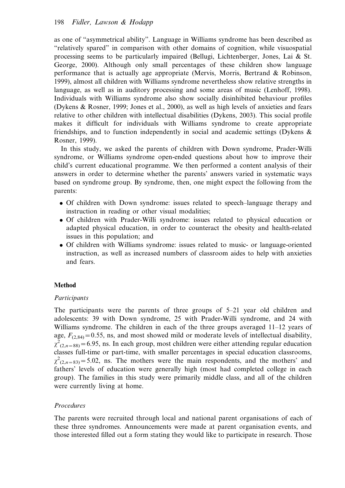as one of ''asymmetrical ability''. Language in Williams syndrome has been described as ''relatively spared'' in comparison with other domains of cognition, while visuospatial processing seems to be particularly impaired (Bellugi, Lichtenberger, Jones, Lai & St. George, 2000). Although only small percentages of these children show language performance that is actually age appropriate (Mervis, Morris, Bertrand & Robinson, 1999), almost all children with Williams syndrome nevertheless show relative strengths in language, as well as in auditory processing and some areas of music (Lenhoff, 1998). Individuals with Williams syndrome also show socially disinhibited behaviour profiles (Dykens & Rosner, 1999; Jones et al., 2000), as well as high levels of anxieties and fears relative to other children with intellectual disabilities (Dykens, 2003). This social profile makes it difficult for individuals with Williams syndrome to create appropriate friendships, and to function independently in social and academic settings (Dykens  $\&$ Rosner, 1999).

In this study, we asked the parents of children with Down syndrome, Prader-Willi syndrome, or Williams syndrome open-ended questions about how to improve their child's current educational programme. We then performed a content analysis of their answers in order to determine whether the parents' answers varied in systematic ways based on syndrome group. By syndrome, then, one might expect the following from the parents:

- . Of children with Down syndrome: issues related to speech–language therapy and instruction in reading or other visual modalities;
- . Of children with Prader-Willi syndrome: issues related to physical education or adapted physical education, in order to counteract the obesity and health-related issues in this population; and
- . Of children with Williams syndrome: issues related to music- or language-oriented instruction, as well as increased numbers of classroom aides to help with anxieties and fears.

# Method

# **Participants**

The participants were the parents of three groups of 5–21 year old children and adolescents: 39 with Down syndrome, 25 with Prader-Willi syndrome, and 24 with Williams syndrome. The children in each of the three groups averaged 11–12 years of age,  $F_{(2,84)} = 0.55$ , ns, and most showed mild or moderate levels of intellectual disability,  $\chi^2_{(2,n=88)}$  = 6.95, ns. In each group, most children were either attending regular education classes full-time or part-time, with smaller percentages in special education classrooms,  $\chi^2_{(2,n=83)}$  = 5.02, ns. The mothers were the main respondents, and the mothers' and fathers' levels of education were generally high (most had completed college in each group). The families in this study were primarily middle class, and all of the children were currently living at home.

# Procedures

The parents were recruited through local and national parent organisations of each of these three syndromes. Announcements were made at parent organisation events, and those interested filled out a form stating they would like to participate in research. Those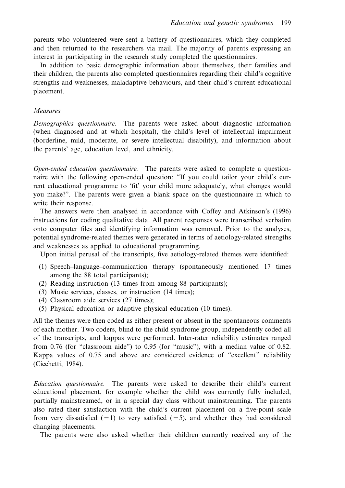parents who volunteered were sent a battery of questionnaires, which they completed and then returned to the researchers via mail. The majority of parents expressing an interest in participating in the research study completed the questionnaires.

In addition to basic demographic information about themselves, their families and their children, the parents also completed questionnaires regarding their child's cognitive strengths and weaknesses, maladaptive behaviours, and their child's current educational placement.

#### Measures

Demographics questionnaire. The parents were asked about diagnostic information (when diagnosed and at which hospital), the child's level of intellectual impairment (borderline, mild, moderate, or severe intellectual disability), and information about the parents' age, education level, and ethnicity.

Open-ended education questionnaire. The parents were asked to complete a questionnaire with the following open-ended question: ''If you could tailor your child's current educational programme to 'fit' your child more adequately, what changes would you make?''. The parents were given a blank space on the questionnaire in which to write their response.

The answers were then analysed in accordance with Coffey and Atkinson's (1996) instructions for coding qualitative data. All parent responses were transcribed verbatim onto computer files and identifying information was removed. Prior to the analyses, potential syndrome-related themes were generated in terms of aetiology-related strengths and weaknesses as applied to educational programming.

Upon initial perusal of the transcripts, five aetiology-related themes were identified:

- (1) Speech–language–communication therapy (spontaneously mentioned 17 times among the 88 total participants);
- (2) Reading instruction (13 times from among 88 participants);
- (3) Music services, classes, or instruction (14 times);
- (4) Classroom aide services (27 times);
- (5) Physical education or adaptive physical education (10 times).

All the themes were then coded as either present or absent in the spontaneous comments of each mother. Two coders, blind to the child syndrome group, independently coded all of the transcripts, and kappas were performed. Inter-rater reliability estimates ranged from 0.76 (for "classroom aide") to 0.95 (for "music"), with a median value of 0.82. Kappa values of 0.75 and above are considered evidence of ''excellent'' reliability (Cicchetti, 1984).

Education questionnaire. The parents were asked to describe their child's current educational placement, for example whether the child was currently fully included, partially mainstreamed, or in a special day class without mainstreaming. The parents also rated their satisfaction with the child's current placement on a five-point scale from very dissatisfied  $(=1)$  to very satisfied  $(=5)$ , and whether they had considered changing placements.

The parents were also asked whether their children currently received any of the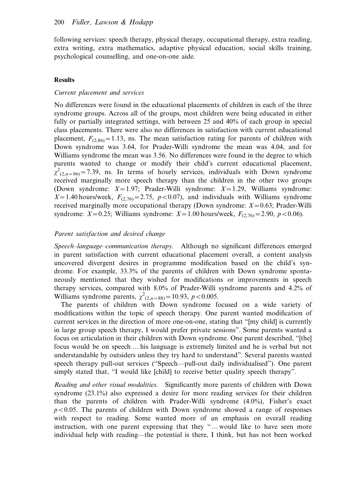following services: speech therapy, physical therapy, occupational therapy, extra reading, extra writing, extra mathematics, adaptive physical education, social skills training, psychological counselling, and one-on-one aide.

## **Results**

### Current placement and services

No differences were found in the educational placements of children in each of the three syndrome groups. Across all of the groups, most children were being educated in either fully or partially integrated settings, with between 25 and 40% of each group in special class placements. There were also no differences in satisfaction with current educational placement,  $F_{(2,86)} = 1.13$ , ns. The mean satisfaction rating for parents of children with Down syndrome was 3.64, for Prader-Willi syndrome the mean was 4.04, and for Williams syndrome the mean was 3.56. No differences were found in the degree to which parents wanted to change or modify their child's current educational placement,  $\chi^2_{(2,n=86)}$  = 7.39, ns. In terms of hourly services, individuals with Down syndrome received marginally more speech therapy than the children in the other two groups (Down syndrome:  $X=1.97$ ; Prader-Willi syndrome:  $X=1.29$ , Williams syndrome:  $X=1.40$  hours/week,  $F_{(2,76)}=2.75$ ,  $p<0.07$ ), and individuals with Williams syndrome received marginally more occupational therapy (Down syndrome:  $X=0.63$ ; Prader-Willi syndrome:  $X=0.25$ ; Williams syndrome:  $X=1.00$  hours/week,  $F_{(2,76)}=2.90$ ,  $p<0.06$ ).

## Parent satisfaction and desired change

Speech–language–communication therapy. Although no significant differences emerged in parent satisfaction with current educational placement overall, a content analysis uncovered divergent desires in programme modification based on the child's syndrome. For example, 33.3% of the parents of children with Down syndrome spontaneously mentioned that they wished for modifications or improvements in speech therapy services, compared with 8.0% of Prader-Willi syndrome parents and 4.2% of Williams syndrome parents,  $\chi^2_{(2,n=88)} = 10.93$ ,  $p < 0.005$ .

The parents of children with Down syndrome focused on a wide variety of modifications within the topic of speech therapy. One parent wanted modification of current services in the direction of more one-on-one, stating that ''[my child] is currently in large group speech therapy, I would prefer private sessions''. Some parents wanted a focus on articulation in their children with Down syndrome. One parent described, ''[the] focus would be on speech …his language is extremely limited and he is verbal but not understandable by outsiders unless they try hard to understand''. Several parents wanted speech therapy pull-out services (''Speech—pull-out daily individualised''). One parent simply stated that, ''I would like [child] to receive better quality speech therapy''.

Reading and other visual modalities. Significantly more parents of children with Down syndrome (23.1%) also expressed a desire for more reading services for their children than the parents of children with Prader-Willi syndrome (4.0%), Fisher's exact  $p<0.05$ . The parents of children with Down syndrome showed a range of responses with respect to reading. Some wanted more of an emphasis on overall reading instruction, with one parent expressing that they ''…would like to have seen more individual help with reading—the potential is there, I think, but has not been worked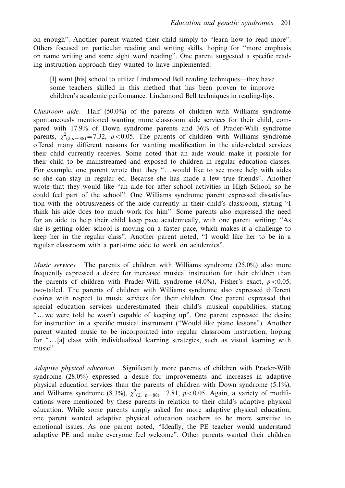on enough''. Another parent wanted their child simply to ''learn how to read more''. Others focused on particular reading and writing skills, hoping for ''more emphasis on name writing and some sight word reading''. One parent suggested a specific reading instruction approach they wanted to have implemented:

[I] want [his] school to utilize Lindamood Bell reading techniques—they have some teachers skilled in this method that has been proven to improve children's academic performance. Lindamood Bell techniques in reading-lips.

Classroom aide. Half (50.0%) of the parents of children with Williams syndrome spontaneously mentioned wanting more classroom aide services for their child, compared with 17.9% of Down syndrome parents and 36% of Prader-Willi syndrome parents,  $\chi^2_{(2,n=88)}$  = 7.32, p < 0.05. The parents of children with Williams syndrome offered many different reasons for wanting modification in the aide-related services their child currently receives. Some noted that an aide would make it possible for their child to be mainstreamed and exposed to children in regular education classes. For example, one parent wrote that they "... would like to see more help with aides so she can stay in regular ed. Because she has made a few true friends''. Another wrote that they would like "an aide for after school activities in High School, so he could feel part of the school''. One Williams syndrome parent expressed dissatisfaction with the obtrusiveness of the aide currently in their child's classroom, stating ''I think his aide does too much work for him''. Some parents also expressed the need for an aide to help their child keep pace academically, with one parent writing: ''As she is getting older school is moving on a faster pace, which makes it a challenge to keep her in the regular class''. Another parent noted, ''I would like her to be in a regular classroom with a part-time aide to work on academics''.

Music services. The parents of children with Williams syndrome (25.0%) also more frequently expressed a desire for increased musical instruction for their children than the parents of children with Prader-Willi syndrome  $(4.0\%)$ , Fisher's exact,  $p < 0.05$ , two-tailed. The parents of children with Williams syndrome also expressed different desires with respect to music services for their children. One parent expressed that special education services underestimated their child's musical capabilities, stating ''…we were told he wasn't capable of keeping up''. One parent expressed the desire for instruction in a specific musical instrument (''Would like piano lessons''). Another parent wanted music to be incorporated into regular classroom instruction, hoping for ''…[a] class with individualized learning strategies, such as visual learning with music''.

Adaptive physical education. Significantly more parents of children with Prader-Willi syndrome (28.0%) expressed a desire for improvements and increases in adaptive physical education services than the parents of children with Down syndrome (5.1%), and Williams syndrome (8.3%),  $\chi^2_{(2, n=88)} = 7.81$ ,  $p < 0.05$ . Again, a variety of modifications were mentioned by these parents in relation to their child's adaptive physical education. While some parents simply asked for more adaptive physical education, one parent wanted adaptive physical education teachers to be more sensitive to emotional issues. As one parent noted, ''Ideally, the PE teacher would understand adaptive PE and make everyone feel welcome''. Other parents wanted their children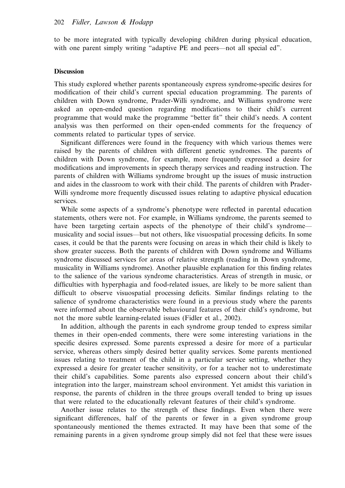to be more integrated with typically developing children during physical education, with one parent simply writing "adaptive PE and peers—not all special ed".

#### **Discussion**

This study explored whether parents spontaneously express syndrome-specific desires for modification of their child's current special education programming. The parents of children with Down syndrome, Prader-Willi syndrome, and Williams syndrome were asked an open-ended question regarding modifications to their child's current programme that would make the programme ''better fit'' their child's needs. A content analysis was then performed on their open-ended comments for the frequency of comments related to particular types of service.

Significant differences were found in the frequency with which various themes were raised by the parents of children with different genetic syndromes. The parents of children with Down syndrome, for example, more frequently expressed a desire for modifications and improvements in speech therapy services and reading instruction. The parents of children with Williams syndrome brought up the issues of music instruction and aides in the classroom to work with their child. The parents of children with Prader-Willi syndrome more frequently discussed issues relating to adaptive physical education services.

While some aspects of a syndrome's phenotype were reflected in parental education statements, others were not. For example, in Williams syndrome, the parents seemed to have been targeting certain aspects of the phenotype of their child's syndrome musicality and social issues—but not others, like visuospatial processing deficits. In some cases, it could be that the parents were focusing on areas in which their child is likely to show greater success. Both the parents of children with Down syndrome and Williams syndrome discussed services for areas of relative strength (reading in Down syndrome, musicality in Williams syndrome). Another plausible explanation for this finding relates to the salience of the various syndrome characteristics. Areas of strength in music, or difficulties with hyperphagia and food-related issues, are likely to be more salient than difficult to observe visuospatial processing deficits. Similar findings relating to the salience of syndrome characteristics were found in a previous study where the parents were informed about the observable behavioural features of their child's syndrome, but not the more subtle learning-related issues (Fidler et al., 2002).

In addition, although the parents in each syndrome group tended to express similar themes in their open-ended comments, there were some interesting variations in the specific desires expressed. Some parents expressed a desire for more of a particular service, whereas others simply desired better quality services. Some parents mentioned issues relating to treatment of the child in a particular service setting, whether they expressed a desire for greater teacher sensitivity, or for a teacher not to underestimate their child's capabilities. Some parents also expressed concern about their child's integration into the larger, mainstream school environment. Yet amidst this variation in response, the parents of children in the three groups overall tended to bring up issues that were related to the educationally relevant features of their child's syndrome.

Another issue relates to the strength of these findings. Even when there were significant differences, half of the parents or fewer in a given syndrome group spontaneously mentioned the themes extracted. It may have been that some of the remaining parents in a given syndrome group simply did not feel that these were issues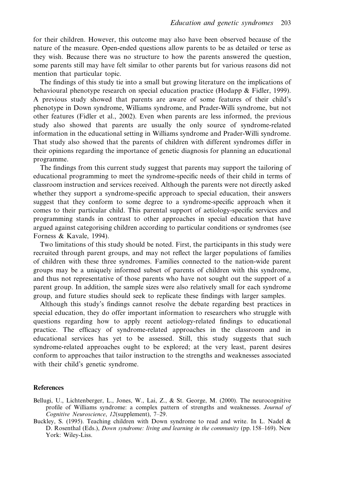for their children. However, this outcome may also have been observed because of the nature of the measure. Open-ended questions allow parents to be as detailed or terse as they wish. Because there was no structure to how the parents answered the question, some parents still may have felt similar to other parents but for various reasons did not mention that particular topic.

The findings of this study tie into a small but growing literature on the implications of behavioural phenotype research on special education practice (Hodapp & Fidler, 1999). A previous study showed that parents are aware of some features of their child's phenotype in Down syndrome, Williams syndrome, and Prader-Willi syndrome, but not other features (Fidler et al., 2002). Even when parents are less informed, the previous study also showed that parents are usually the only source of syndrome-related information in the educational setting in Williams syndrome and Prader-Willi syndrome. That study also showed that the parents of children with different syndromes differ in their opinions regarding the importance of genetic diagnosis for planning an educational programme.

The findings from this current study suggest that parents may support the tailoring of educational programming to meet the syndrome-specific needs of their child in terms of classroom instruction and services received. Although the parents were not directly asked whether they support a syndrome-specific approach to special education, their answers suggest that they conform to some degree to a syndrome-specific approach when it comes to their particular child. This parental support of aetiology-specific services and programming stands in contrast to other approaches in special education that have argued against categorising children according to particular conditions or syndromes (see Forness & Kavale, 1994).

Two limitations of this study should be noted. First, the participants in this study were recruited through parent groups, and may not reflect the larger populations of families of children with these three syndromes. Families connected to the nation-wide parent groups may be a uniquely informed subset of parents of children with this syndrome, and thus not representative of those parents who have not sought out the support of a parent group. In addition, the sample sizes were also relatively small for each syndrome group, and future studies should seek to replicate these findings with larger samples.

Although this study's findings cannot resolve the debate regarding best practices in special education, they do offer important information to researchers who struggle with questions regarding how to apply recent aetiology-related findings to educational practice. The efficacy of syndrome-related approaches in the classroom and in educational services has yet to be assessed. Still, this study suggests that such syndrome-related approaches ought to be explored; at the very least, parent desires conform to approaches that tailor instruction to the strengths and weaknesses associated with their child's genetic syndrome.

#### **References**

- Bellugi, U., Lichtenberger, L., Jones, W., Lai, Z., & St. George, M. (2000). The neurocognitive profile of Williams syndrome: a complex pattern of strengths and weaknesses. Journal of Cognitive Neuroscience, 12(supplement), 7–29.
- Buckley, S. (1995). Teaching children with Down syndrome to read and write. In L. Nadel & D. Rosenthal (Eds.), Down syndrome: living and learning in the community (pp. 158–169). New York: Wiley-Liss.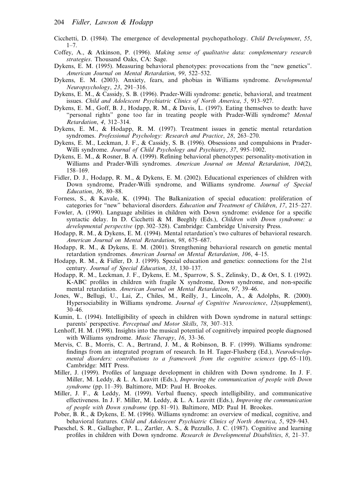- Cicchetti, D. (1984). The emergence of developmental psychopathology. Child Development, 55,  $1 - 7$ .
- Coffey, A., & Atkinson, P. (1996). Making sense of qualitative data: complementary research strategies. Thousand Oaks, CA: Sage.
- Dykens, E. M. (1995). Measuring behavioral phenotypes: provocations from the ''new genetics''. American Journal on Mental Retardation, 99, 522–532.
- Dykens, E. M. (2003). Anxiety, fears, and phobias in Williams syndrome. Developmental Neuropsychology, 23, 291–316.
- Dykens, E. M., & Cassidy, S. B. (1996). Prader-Willi syndrome: genetic, behavioral, and treatment issues. Child and Adolescent Psychiatric Clinics of North America, 5, 913–927.
- Dykens, E. M., Goff, B. J., Hodapp, R. M., & Davis, L. (1997). Eating themselves to death: have ''personal rights'' gone too far in treating people with Prader-Willi syndrome? Mental Retardation, 4, 312–314.
- Dykens, E. M., & Hodapp, R. M. (1997). Treatment issues in genetic mental retardation syndromes. Professional Psychology: Research and Practice, 28, 263–270.
- Dykens, E. M., Leckman, J. F., & Cassidy, S. B. (1996). Obsessions and compulsions in Prader-Willi syndrome. Journal of Child Psychology and Psychiatry, 37, 995–1002.
- Dykens, E. M., & Rosner, B. A. (1999). Refining behavioral phenotypes: personality-motivation in Williams and Prader-Willi syndromes. American Journal on Mental Retardation, 104(2), 158–169.
- Fidler, D. J., Hodapp, R. M., & Dykens, E. M. (2002). Educational experiences of children with Down syndrome, Prader-Willi syndrome, and Williams syndrome. Journal of Special Education, 36, 80–88.
- Forness, S., & Kavale, K. (1994). The Balkanization of special education: proliferation of categories for ''new'' behavioral disorders. Education and Treatment of Children, 17, 215–227.
- Fowler, A. (1990). Language abilities in children with Down syndrome: evidence for a specific syntactic delay. In D. Cicchetti & M. Beeghly (Eds.), Children with Down syndrome: a developmental perspective (pp. 302–328). Cambridge: Cambridge University Press.
- Hodapp, R. M., & Dykens, E. M. (1994). Mental retardation's two cultures of behavioral research. American Journal on Mental Retardation, 98, 675–687.
- Hodapp, R. M., & Dykens, E. M. (2001). Strengthening behavioral research on genetic mental retardation syndromes. American Journal on Mental Retardation, 106, 4–15.
- Hodapp, R. M., & Fidler, D. J. (1999). Special education and genetics: connections for the 21st century. Journal of Special Education, 33, 130–137.
- Hodapp, R. M., Leckman, J. F., Dykens, E. M., Sparrow, S. S., Zelinsky, D., & Ort, S. I. (1992). K-ABC profiles in children with fragile X syndrome, Down syndrome, and non-specific mental retardation. American Journal on Mental Retardation, 97, 39–46.
- Jones, W., Bellugi, U., Lai, Z., Chiles, M., Reilly, J., Lincoln, A., & Adolphs, R. (2000). Hypersociability in Williams syndrome. Journal of Cognitive Neuroscience, 12(supplement), 30–46.
- Kumin, L. (1994). Intelligibility of speech in children with Down syndrome in natural settings: parents' perspective. Perceptual and Motor Skills, 78, 307–313.
- Lenhoff, H. M. (1998). Insights into the musical potential of cognitively impaired people diagnosed with Williams syndrome. *Music Therapy*, 16, 33–36.
- Mervis, C. B., Morris, C. A., Bertrand, J. M., & Robinson, B. F. (1999). Williams syndrome: findings from an integrated program of research. In H. Tager-Flusberg (Ed.), Neurodevelopmental disorders: contributions to a framework from the cognitive sciences (pp. 65–110). Cambridge: MIT Press.
- Miller, J. (1999). Profiles of language development in children with Down syndrome. In J. F. Miller, M. Leddy, & L. A. Leavitt (Eds.), Improving the communication of people with Down syndrome (pp. 11–39). Baltimore, MD: Paul H. Brookes.
- Miller, J. F., & Leddy, M. (1999). Verbal fluency, speech intelligibility, and communicative effectiveness. In J. F. Miller, M. Leddy, & L. A. Leavitt (Eds.), Improving the communication of people with Down syndrome (pp. 81–91). Baltimore, MD: Paul H. Brookes.
- Pober, B. R., & Dykens, E. M. (1996). Williams syndrome: an overview of medical, cognitive, and behavioral features. Child and Adolescent Psychiatric Clinics of North America, 5, 929–943.
- Pueschel, S. R., Gallagher, P. L., Zartler, A. S., & Pezzullo, J. C. (1987). Cognitive and learning profiles in children with Down syndrome. Research in Developmental Disabilities, 8, 21–37.